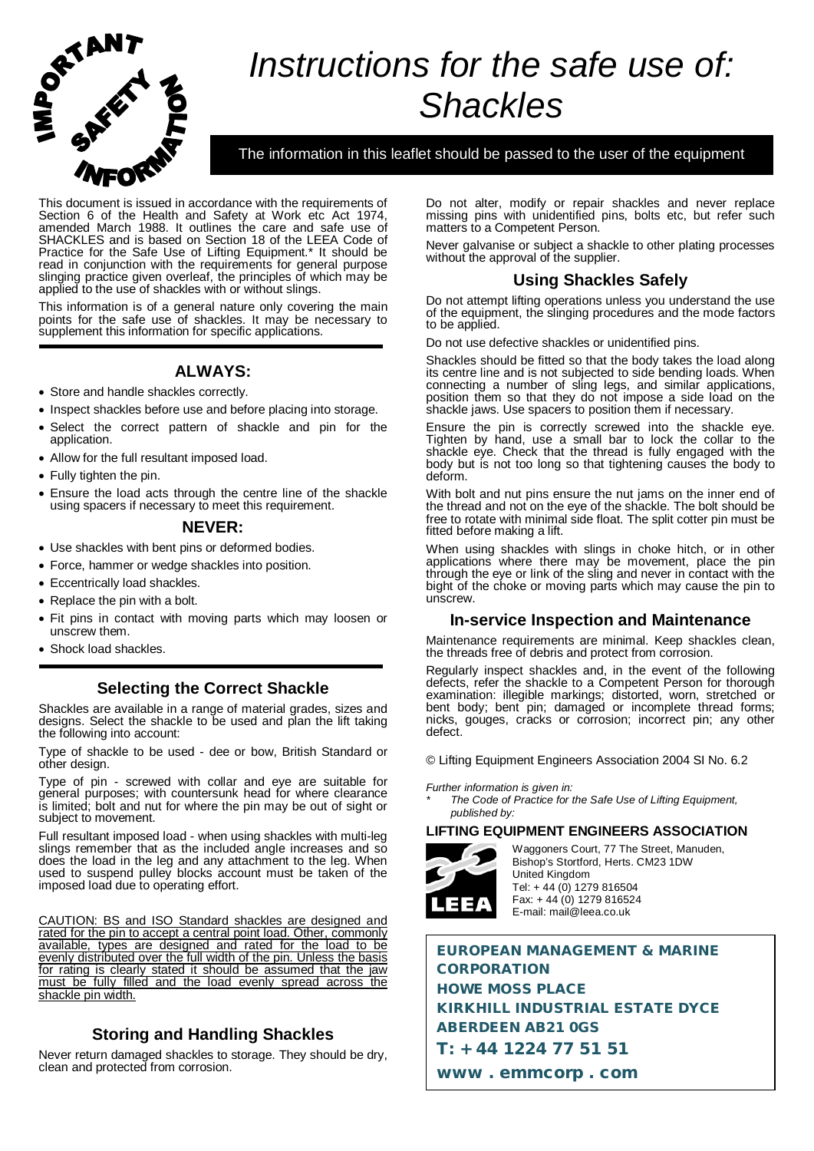

# *Instructions for the safe use of: Shackles*

The information in this leaflet should be passed to the user of the equipment

This document is issued in accordance with the requirements of Section 6 of the Health and Safety at Work etc Act 1974, amended March 1988. It outlines the care and safe use of SHACKLES and is based on Section 18 of the LEEA Code of Practice for the Safe Use of Lifting Equipment.\* It should be read in conjunction with the requirements for general purpose slinging practice given overleaf, the principles of which may be applied to the use of shackles with or without slings.

This information is of a general nature only covering the main points for the safe use of shackles. It may be necessary to supplement this information for specific applications.

## **ALWAYS:**

- Store and handle shackles correctly.
- Inspect shackles before use and before placing into storage.
- Select the correct pattern of shackle and pin for the application.
- Allow for the full resultant imposed load.
- Fully tighten the pin.
- Ensure the load acts through the centre line of the shackle using spacers if necessary to meet this requirement.

#### **NEVER:**

- Use shackles with bent pins or deformed bodies.
- Force, hammer or wedge shackles into position.
- Eccentrically load shackles.
- Replace the pin with a bolt.
- Fit pins in contact with moving parts which may loosen or unscrew them.
- Shock load shackles.

## **Selecting the Correct Shackle**

Shackles are available in a range of material grades, sizes and designs. Select the shackle to be used and plan the lift taking the following into account:

Type of shackle to be used - dee or bow, British Standard or other design.

Type of pin - screwed with collar and eye are suitable for general purposes; with countersunk head for where clearance is limited; bolt and nut for where the pin may be out of sight or subject to movement.

Full resultant imposed load - when using shackles with multi-leg slings remember that as the included angle increases and so does the load in the leg and any attachment to the leg. When used to suspend pulley blocks account must be taken of the imposed load due to operating effort.

CAUTION: BS and ISO Standard shackles are designed and rated for the pin to accept a central point load. Other, commonly available, types are designed and rated for the load to be evenly distributed over the full width of the pin. Unless the basis for rating is clearly stated it should be assumed that the jaw must be fully filled and the load evenly spread across the shackle pin width.

# **Storing and Handling Shackles**

Never return damaged shackles to storage. They should be dry, clean and protected from corrosion.

Do not alter, modify or repair shackles and never replace missing pins with unidentified pins, bolts etc, but refer such matters to a Competent Person.

Never galvanise or subject a shackle to other plating processes without the approval of the supplier.

## **Using Shackles Safely**

Do not attempt lifting operations unless you understand the use of the equipment, the slinging procedures and the mode factors to be applied.

Do not use defective shackles or unidentified pins.

Shackles should be fitted so that the body takes the load along its centre line and is not subjected to side bending loads. When connecting a number of sling legs, and similar applications, position them so that they do not impose a side load on the shackle jaws. Use spacers to position them if necessary.

Ensure the pin is correctly screwed into the shackle eye. Tighten by hand, use a small bar to lock the collar to the shackle eye. Check that the thread is fully engaged with the body but is not too long so that tightening causes the body to deform.

With bolt and nut pins ensure the nut jams on the inner end of the thread and not on the eye of the shackle. The bolt should be free to rotate with minimal side float. The split cotter pin must be fitted before making a lift.

When using shackles with slings in choke hitch, or in other applications where there may be movement, place the pin through the eye or link of the sling and never in contact with the bight of the choke or moving parts which may cause the pin to unscrew.

#### **In-service Inspection and Maintenance**

Maintenance requirements are minimal. Keep shackles clean, the threads free of debris and protect from corrosion.

Regularly inspect shackles and, in the event of the following defects, refer the shackle to a Competent Person for thorough examination: illegible markings; distorted, worn, stretched or bent body; bent pin; damaged or incomplete thread forms; nicks, gouges, cracks or corrosion; incorrect pin; any other defect.

© Lifting Equipment Engineers Association 2004 SI No. 6.2

*Further information is given in:*

*\* The Code of Practice for the Safe Use of Lifting Equipment, published by:*

#### **LIFTING EQUIPMENT ENGINEERS ASSOCIATION**



Waggoners Court, 77 The Street, Manuden, Bishop's Stortford, Herts. CM23 1DW United Kingdom Tel: + 44 (0) 1279 816504 Fax: + 44 (0) 1279 816524 E-mail: mail@leea.co.uk

EUROPEAN MANAGEMENT & MARINE **CORPORATION** HOWE MOSS PLACE KIRKHILL INDUSTRIAL ESTATE DYCE ABERDEEN AB21 0GS T: + 44 1224 77 51 51 www . emmcorp . com